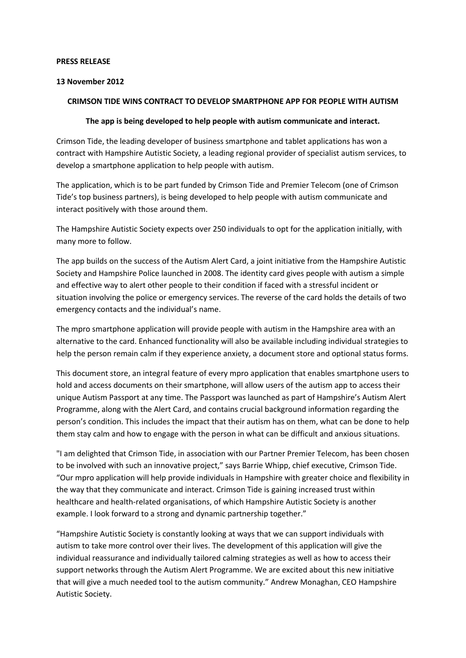### **PRESS RELEASE**

### **13 November 2012**

# **CRIMSON TIDE WINS CONTRACT TO DEVELOP SMARTPHONE APP FOR PEOPLE WITH AUTISM**

## **The app is being developed to help people with autism communicate and interact.**

Crimson Tide, the leading developer of business smartphone and tablet applications has won a contract with Hampshire Autistic Society, a leading regional provider of specialist autism services, to develop a smartphone application to help people with autism.

The application, which is to be part funded by Crimson Tide and Premier Telecom (one of Crimson Tide's top business partners), is being developed to help people with autism communicate and interact positively with those around them.

The Hampshire Autistic Society expects over 250 individuals to opt for the application initially, with many more to follow.

The app builds on the success of the Autism Alert Card, a joint initiative from the Hampshire Autistic Society and Hampshire Police launched in 2008. The identity card gives people with autism a simple and effective way to alert other people to their condition if faced with a stressful incident or situation involving the police or emergency services. The reverse of the card holds the details of two emergency contacts and the individual's name.

The mpro smartphone application will provide people with autism in the Hampshire area with an alternative to the card. Enhanced functionality will also be available including individual strategies to help the person remain calm if they experience anxiety, a document store and optional status forms.

This document store, an integral feature of every mpro application that enables smartphone users to hold and access documents on their smartphone, will allow users of the autism app to access their unique Autism Passport at any time. The Passport was launched as part of Hampshire's Autism Alert Programme, along with the Alert Card, and contains crucial background information regarding the person's condition. This includes the impact that their autism has on them, what can be done to help them stay calm and how to engage with the person in what can be difficult and anxious situations.

"I am delighted that Crimson Tide, in association with our Partner Premier Telecom, has been chosen to be involved with such an innovative project," says Barrie Whipp, chief executive, Crimson Tide. "Our mpro application will help provide individuals in Hampshire with greater choice and flexibility in the way that they communicate and interact. Crimson Tide is gaining increased trust within healthcare and health-related organisations, of which Hampshire Autistic Society is another example. I look forward to a strong and dynamic partnership together."

"Hampshire Autistic Society is constantly looking at ways that we can support individuals with autism to take more control over their lives. The development of this application will give the individual reassurance and individually tailored calming strategies as well as how to access their support networks through the Autism Alert Programme. We are excited about this new initiative that will give a much needed tool to the autism community." Andrew Monaghan, CEO Hampshire Autistic Society.